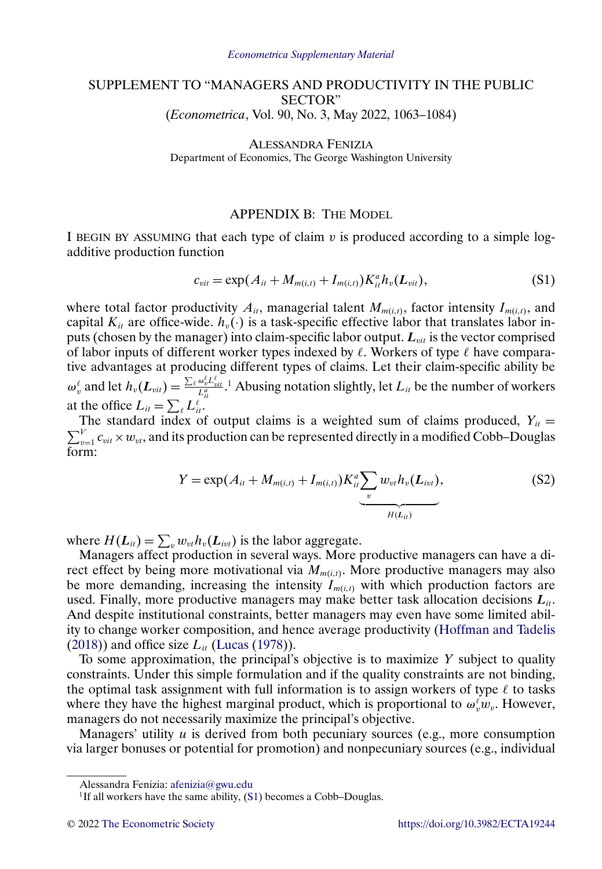## <span id="page-0-0"></span>SUPPLEMENT TO "MANAGERS AND PRODUCTIVITY IN THE PUBLIC SECTOR" (*Econometrica*, Vol. 90, No. 3, May 2022, 1063–1084)

ALESSANDRA FENIZIA Department of Economics, The George Washington University

#### APPENDIX B: THE MODEL

I BEGIN BY ASSUMING that each type of claim  $v$  is produced according to a simple logadditive production function

$$
c_{vit} = \exp(A_{it} + M_{m(i,t)} + I_{m(i,t)})K_{it}^{a}h_{v}(L_{vit}),
$$
\n(S1)

where total factor productivity  $A_{it}$ , managerial talent  $M_{m(i,t)}$ , factor intensity  $I_{m(i,t)}$ , and capital  $K_{it}$  are office-wide.  $h_v(\cdot)$  is a task-specific effective labor that translates labor inputs (chosen by the manager) into claim-specific labor output.  $L_{\textit{vit}}$  is the vector comprised of labor inputs of different worker types indexed by  $\ell$ . Workers of type  $\ell$  have comparative advantages at producing different types of claims. Let their claim-specific ability be  $\omega_v^{\ell}$  and let  $h_v(L_{vit}) = \frac{\sum_{\ell} \omega_v^{\ell} L_{uit}^{\ell}}{L_{it}^{\alpha}}$ .<sup>1</sup> Abusing notation slightly, let  $L_{it}$  be the number of workers at the office  $L_{it} = \sum_{\ell} L_{it}^{\ell}$ .

The standard index of output claims is a weighted sum of claims produced,  $Y_{it} = \sum_{v=1}^{V} c_{vit} \times w_{vt}$ , and its production can be represented directly in a modified Cobb–Douglas form:

$$
Y = \exp(A_{it} + M_{m(i,t)} + I_{m(i,t)})K_{it}^{a} \underbrace{\sum_{v} w_{vt} h_{v}(L_{ivt})}_{H(L_{it})},
$$
\n(S2)

where  $H(L_{it}) = \sum_{v} w_{vt} h_v(L_{ivt})$  is the labor aggregate.

Managers affect production in several ways. More productive managers can have a direct effect by being more motivational via  $M_{m(i,t)}$ . More productive managers may also be more demanding, increasing the intensity  $I_{m(i,t)}$  with which production factors are used. Finally, more productive managers may make better task allocation decisions  $L_{ii}$ . And despite institutional constraints, better managers may even have some limited ability to change worker composition, and hence average productivity [\(Hoffman and Tadelis](#page-8-0) [\(2018\)](#page-8-0)) and office size  $L_{it}$  [\(Lucas](#page-8-0) [\(1978\)](#page-8-0)).

To some approximation, the principal's objective is to maximize  $Y$  subject to quality constraints. Under this simple formulation and if the quality constraints are not binding, the optimal task assignment with full information is to assign workers of type  $\ell$  to tasks where they have the highest marginal product, which is proportional to  $\omega_v^{\ell}w_v$ . However, managers do not necessarily maximize the principal's objective.

Managers' utility  $u$  is derived from both pecuniary sources (e.g., more consumption via larger bonuses or potential for promotion) and nonpecuniary sources (e.g., individual

Alessandra Fenizia: [afenizia@gwu.edu](mailto:afenizia@gwu.edu)

<sup>&</sup>lt;sup>1</sup>If all workers have the same ability,  $(S1)$  becomes a Cobb–Douglas.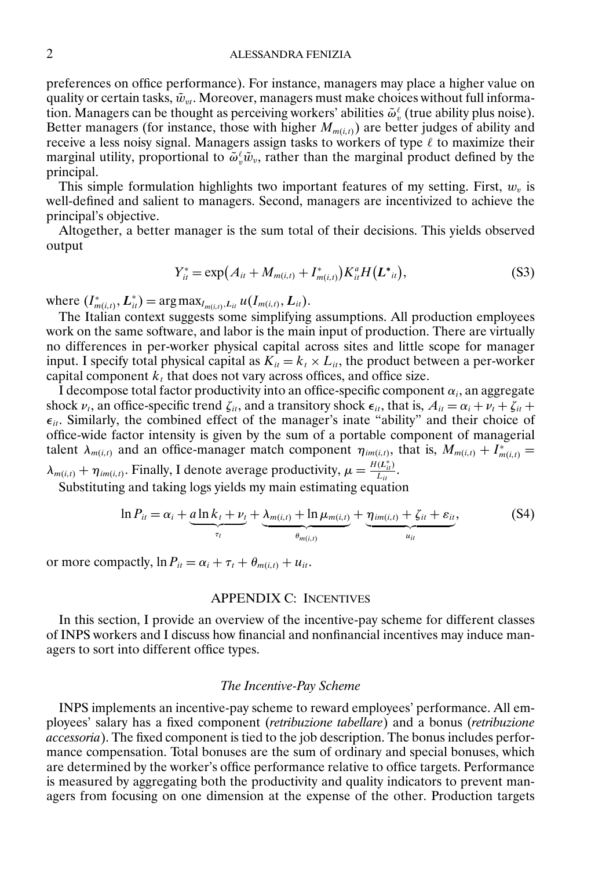<span id="page-1-0"></span>preferences on office performance). For instance, managers may place a higher value on quality or certain tasks,  $\tilde{w}_{vt}$ . Moreover, managers must make choices without full information. Managers can be thought as perceiving workers' abilities  $\tilde{\omega}_v^{\ell}$  (true ability plus noise). Better managers (for instance, those with higher  $M_{m(i,t)}$ ) are better judges of ability and receive a less noisy signal. Managers assign tasks to workers of type  $\ell$  to maximize their marginal utility, proportional to  $\tilde{\omega}_v^{\ell} \tilde{w}_v$ , rather than the marginal product defined by the principal.

This simple formulation highlights two important features of my setting. First,  $w<sub>v</sub>$  is well-defined and salient to managers. Second, managers are incentivized to achieve the principal's objective.

Altogether, a better manager is the sum total of their decisions. This yields observed output

$$
Y_{it}^* = \exp(A_{it} + M_{m(i,t)} + I_{m(i,t)}^*)K_{it}^*H(L^*_{it}),
$$
\n(S3)

where  $(I_{m(i,t)}^*, L_{it}^*) = \arg \max_{I_{m(i,t)}, L_{it}} u(I_{m(i,t)}, L_{it})$ .

The Italian context suggests some simplifying assumptions. All production employees work on the same software, and labor is the main input of production. There are virtually no differences in per-worker physical capital across sites and little scope for manager input. I specify total physical capital as  $K_{it} = k_t \times L_{it}$ , the product between a per-worker capital component  $k_t$  that does not vary across offices, and office size.

I decompose total factor productivity into an office-specific component  $\alpha_i$ , an aggregate shock  $\nu_t$ , an office-specific trend  $\zeta_{it}$ , and a transitory shock  $\epsilon_{it}$ , that is,  $A_{it} = \alpha_i + \nu_t + \zeta_{it} + \zeta_{it}$  $\epsilon_{it}$ . Similarly, the combined effect of the manager's inate "ability" and their choice of office-wide factor intensity is given by the sum of a portable component of managerial talent  $\lambda_{m(i,t)}$  and an office-manager match component  $\eta_{im(i,t)}$ , that is,  $M_{m(i,t)} + I^*_{m(i,t)} =$  $\lambda_{m(i,t)} + \eta_{im(i,t)}$ . Finally, I denote average productivity,  $\mu = \frac{H(L_{it}^*)}{L_{it}}$ .

Substituting and taking logs yields my main estimating equation

$$
\ln P_{it} = \alpha_i + \underbrace{\underbrace{\text{d}\ln k_t + \nu_t}_{\tau_t} + \underbrace{\lambda_{m(i,t)} + \ln \mu_{m(i,t)}}_{\theta_{m(i,t)}} + \underbrace{\eta_{im(i,t)} + \zeta_{it} + \varepsilon_{it}}_{u_{it}},
$$
(S4)

or more compactly,  $\ln P_{it} = \alpha_i + \tau_t + \theta_{m(i,t)} + u_{it}$ .

### APPENDIX C: INCENTIVES

In this section, I provide an overview of the incentive-pay scheme for different classes of INPS workers and I discuss how financial and nonfinancial incentives may induce managers to sort into different office types.

#### *The Incentive-Pay Scheme*

INPS implements an incentive-pay scheme to reward employees' performance. All employees' salary has a fixed component (*retribuzione tabellare*) and a bonus (*retribuzione accessoria*). The fixed component is tied to the job description. The bonus includes performance compensation. Total bonuses are the sum of ordinary and special bonuses, which are determined by the worker's office performance relative to office targets. Performance is measured by aggregating both the productivity and quality indicators to prevent managers from focusing on one dimension at the expense of the other. Production targets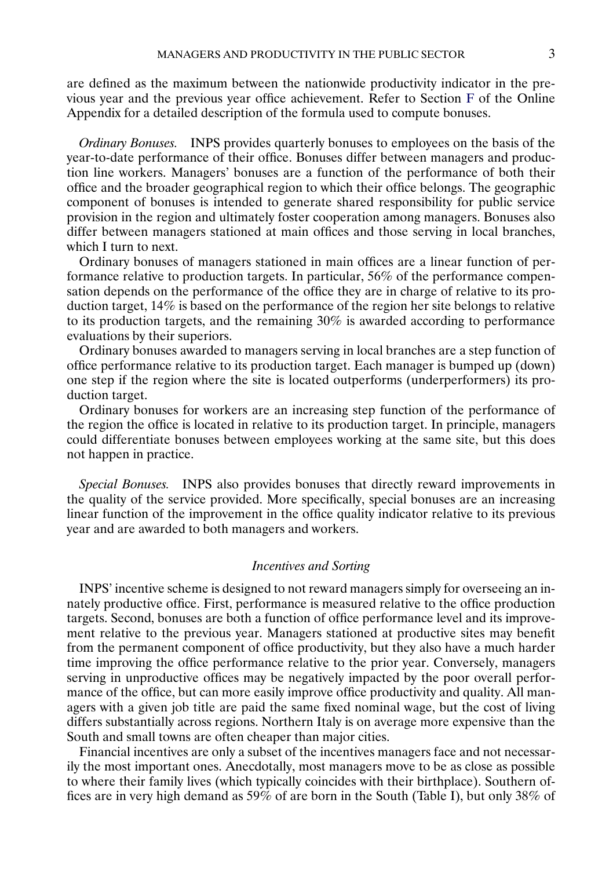are defined as the maximum between the nationwide productivity indicator in the previous year and the previous year office achievement. Refer to Section [F](#page-5-0) of the Online Appendix for a detailed description of the formula used to compute bonuses.

*Ordinary Bonuses.* INPS provides quarterly bonuses to employees on the basis of the year-to-date performance of their office. Bonuses differ between managers and production line workers. Managers' bonuses are a function of the performance of both their office and the broader geographical region to which their office belongs. The geographic component of bonuses is intended to generate shared responsibility for public service provision in the region and ultimately foster cooperation among managers. Bonuses also differ between managers stationed at main offices and those serving in local branches, which I turn to next.

Ordinary bonuses of managers stationed in main offices are a linear function of performance relative to production targets. In particular, 56% of the performance compensation depends on the performance of the office they are in charge of relative to its production target, 14% is based on the performance of the region her site belongs to relative to its production targets, and the remaining 30% is awarded according to performance evaluations by their superiors.

Ordinary bonuses awarded to managers serving in local branches are a step function of office performance relative to its production target. Each manager is bumped up (down) one step if the region where the site is located outperforms (underperformers) its production target.

Ordinary bonuses for workers are an increasing step function of the performance of the region the office is located in relative to its production target. In principle, managers could differentiate bonuses between employees working at the same site, but this does not happen in practice.

*Special Bonuses.* INPS also provides bonuses that directly reward improvements in the quality of the service provided. More specifically, special bonuses are an increasing linear function of the improvement in the office quality indicator relative to its previous year and are awarded to both managers and workers.

## *Incentives and Sorting*

INPS' incentive scheme is designed to not reward managers simply for overseeing an innately productive office. First, performance is measured relative to the office production targets. Second, bonuses are both a function of office performance level and its improvement relative to the previous year. Managers stationed at productive sites may benefit from the permanent component of office productivity, but they also have a much harder time improving the office performance relative to the prior year. Conversely, managers serving in unproductive offices may be negatively impacted by the poor overall performance of the office, but can more easily improve office productivity and quality. All managers with a given job title are paid the same fixed nominal wage, but the cost of living differs substantially across regions. Northern Italy is on average more expensive than the South and small towns are often cheaper than major cities.

Financial incentives are only a subset of the incentives managers face and not necessarily the most important ones. Anecdotally, most managers move to be as close as possible to where their family lives (which typically coincides with their birthplace). Southern offices are in very high demand as  $59\%$  of are born in the South (Table I), but only 38% of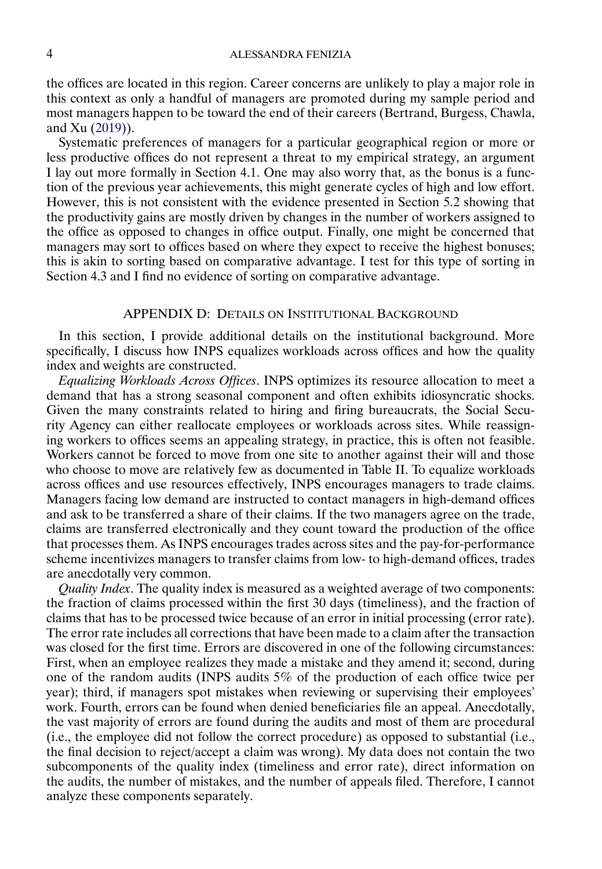<span id="page-3-0"></span>the offices are located in this region. Career concerns are unlikely to play a major role in this context as only a handful of managers are promoted during my sample period and most managers happen to be toward the end of their careers (Bertrand, Burgess, Chawla, and Xu [\(2019\)](#page-7-0)).

Systematic preferences of managers for a particular geographical region or more or less productive offices do not represent a threat to my empirical strategy, an argument I lay out more formally in Section 4.1. One may also worry that, as the bonus is a function of the previous year achievements, this might generate cycles of high and low effort. However, this is not consistent with the evidence presented in Section 5.2 showing that the productivity gains are mostly driven by changes in the number of workers assigned to the office as opposed to changes in office output. Finally, one might be concerned that managers may sort to offices based on where they expect to receive the highest bonuses; this is akin to sorting based on comparative advantage. I test for this type of sorting in Section 4.3 and I find no evidence of sorting on comparative advantage.

#### APPENDIX D: DETAILS ON INSTITUTIONAL BACKGROUND

In this section, I provide additional details on the institutional background. More specifically, I discuss how INPS equalizes workloads across offices and how the quality index and weights are constructed.

*Equalizing Workloads Across Offices*. INPS optimizes its resource allocation to meet a demand that has a strong seasonal component and often exhibits idiosyncratic shocks. Given the many constraints related to hiring and firing bureaucrats, the Social Security Agency can either reallocate employees or workloads across sites. While reassigning workers to offices seems an appealing strategy, in practice, this is often not feasible. Workers cannot be forced to move from one site to another against their will and those who choose to move are relatively few as documented in Table II. To equalize workloads across offices and use resources effectively, INPS encourages managers to trade claims. Managers facing low demand are instructed to contact managers in high-demand offices and ask to be transferred a share of their claims. If the two managers agree on the trade, claims are transferred electronically and they count toward the production of the office that processes them. As INPS encourages trades across sites and the pay-for-performance scheme incentivizes managers to transfer claims from low- to high-demand offices, trades are anecdotally very common.

*Quality Index*. The quality index is measured as a weighted average of two components: the fraction of claims processed within the first 30 days (timeliness), and the fraction of claims that has to be processed twice because of an error in initial processing (error rate). The error rate includes all corrections that have been made to a claim after the transaction was closed for the first time. Errors are discovered in one of the following circumstances: First, when an employee realizes they made a mistake and they amend it; second, during one of the random audits (INPS audits 5% of the production of each office twice per year); third, if managers spot mistakes when reviewing or supervising their employees' work. Fourth, errors can be found when denied beneficiaries file an appeal. Anecdotally, the vast majority of errors are found during the audits and most of them are procedural (i.e., the employee did not follow the correct procedure) as opposed to substantial (i.e., the final decision to reject/accept a claim was wrong). My data does not contain the two subcomponents of the quality index (timeliness and error rate), direct information on the audits, the number of mistakes, and the number of appeals filed. Therefore, I cannot analyze these components separately.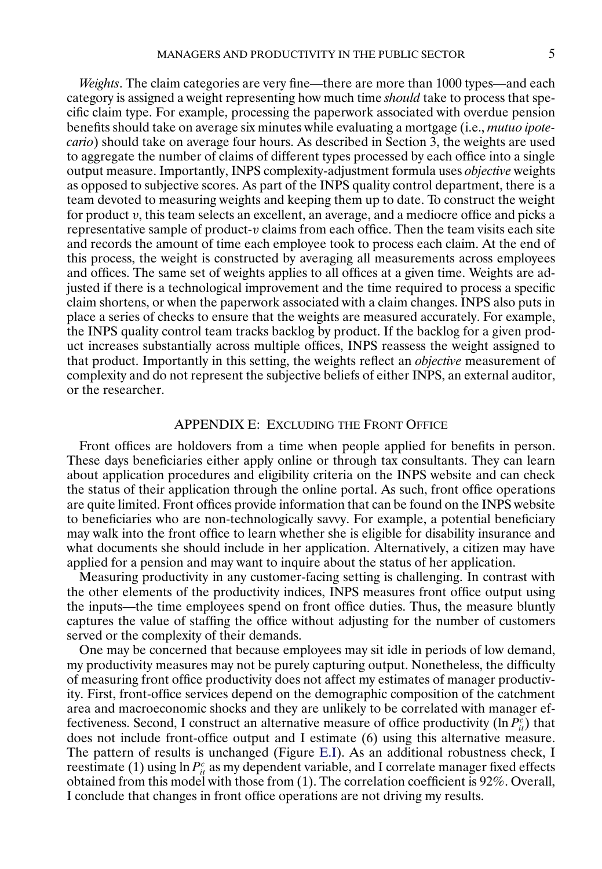*Weights*. The claim categories are very fine—there are more than 1000 types—and each category is assigned a weight representing how much time *should* take to process that specific claim type. For example, processing the paperwork associated with overdue pension benefits should take on average six minutes while evaluating a mortgage (i.e., *mutuo ipotecario*) should take on average four hours. As described in Section 3, the weights are used to aggregate the number of claims of different types processed by each office into a single output measure. Importantly, INPS complexity-adjustment formula uses *objective* weights as opposed to subjective scores. As part of the INPS quality control department, there is a team devoted to measuring weights and keeping them up to date. To construct the weight for product v, this team selects an excellent, an average, and a mediocre office and picks a representative sample of product- $v$  claims from each office. Then the team visits each site and records the amount of time each employee took to process each claim. At the end of this process, the weight is constructed by averaging all measurements across employees and offices. The same set of weights applies to all offices at a given time. Weights are adjusted if there is a technological improvement and the time required to process a specific claim shortens, or when the paperwork associated with a claim changes. INPS also puts in place a series of checks to ensure that the weights are measured accurately. For example, the INPS quality control team tracks backlog by product. If the backlog for a given product increases substantially across multiple offices, INPS reassess the weight assigned to that product. Importantly in this setting, the weights reflect an *objective* measurement of complexity and do not represent the subjective beliefs of either INPS, an external auditor, or the researcher.

## APPENDIX E: EXCLUDING THE FRONT OFFICE

Front offices are holdovers from a time when people applied for benefits in person. These days beneficiaries either apply online or through tax consultants. They can learn about application procedures and eligibility criteria on the INPS website and can check the status of their application through the online portal. As such, front office operations are quite limited. Front offices provide information that can be found on the INPS website to beneficiaries who are non-technologically savvy. For example, a potential beneficiary may walk into the front office to learn whether she is eligible for disability insurance and what documents she should include in her application. Alternatively, a citizen may have applied for a pension and may want to inquire about the status of her application.

Measuring productivity in any customer-facing setting is challenging. In contrast with the other elements of the productivity indices, INPS measures front office output using the inputs—the time employees spend on front office duties. Thus, the measure bluntly captures the value of staffing the office without adjusting for the number of customers served or the complexity of their demands.

One may be concerned that because employees may sit idle in periods of low demand, my productivity measures may not be purely capturing output. Nonetheless, the difficulty of measuring front office productivity does not affect my estimates of manager productivity. First, front-office services depend on the demographic composition of the catchment area and macroeconomic shocks and they are unlikely to be correlated with manager effectiveness. Second, I construct an alternative measure of office productivity ( $\ln P_{it}^c$ ) that does not include front-office output and I estimate (6) using this alternative measure. The pattern of results is unchanged (Figure [E.I\)](#page-5-0). As an additional robustness check, I reestimate (1) using  $\ln P_{it}^c$  as my dependent variable, and I correlate manager fixed effects obtained from this model with those from (1). The correlation coefficient is 92%. Overall, I conclude that changes in front office operations are not driving my results.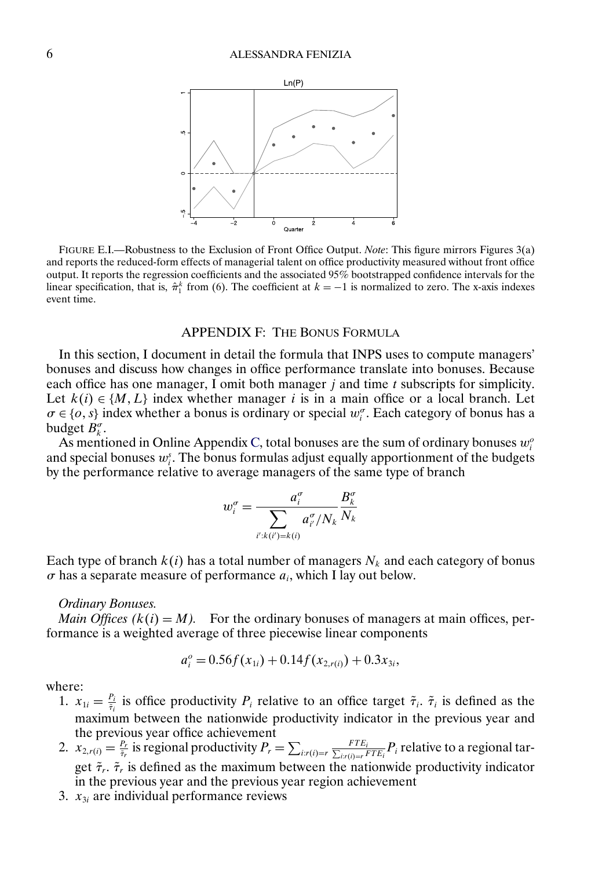<span id="page-5-0"></span>

FIGURE E.I.—Robustness to the Exclusion of Front Office Output. *Note*: This figure mirrors Figures 3(a) and reports the reduced-form effects of managerial talent on office productivity measured without front office output. It reports the regression coefficients and the associated 95% bootstrapped confidence intervals for the linear specification, that is,  $\hat{\pi}_1^k$  from (6). The coefficient at  $k = -1$  is normalized to zero. The x-axis indexes event time.

# APPENDIX F: THE BONUS FORMULA

In this section, I document in detail the formula that INPS uses to compute managers' bonuses and discuss how changes in office performance translate into bonuses. Because each office has one manager, I omit both manager  $j$  and time  $t$  subscripts for simplicity. Let  $k(i) \in \{M, L\}$  index whether manager i is in a main office or a local branch. Let  $\sigma \in \{o, s\}$  index whether a bonus is ordinary or special  $w_i^{\sigma}$ . Each category of bonus has a budget  $B_k^{\sigma}$ .

As mentioned in Online Appendix [C,](#page-1-0) total bonuses are the sum of ordinary bonuses  $w_i^o$ and special bonuses  $w_i^s$ . The bonus formulas adjust equally apportionment of the budgets by the performance relative to average managers of the same type of branch

$$
w_i^{\sigma} = \frac{a_i^{\sigma}}{\sum_{i':k(i')=k(i)} a_{i'}^{\sigma}/N_k} \frac{B_k^{\sigma}}{N_k}
$$

Each type of branch  $k(i)$  has a total number of managers  $N_k$  and each category of bonus  $\sigma$  has a separate measure of performance  $a_i$ , which I lay out below.

#### *Ordinary Bonuses.*

*Main Offices*  $(k(i) = M)$ *.* For the ordinary bonuses of managers at main offices, performance is a weighted average of three piecewise linear components

$$
a_i^o = 0.56f(x_{1i}) + 0.14f(x_{2, r(i)}) + 0.3x_{3i},
$$

where:

- 1.  $x_{1i} = \frac{P_i}{\tilde{\tau}_i}$  is office productivity  $P_i$  relative to an office target  $\tilde{\tau}_i$ .  $\tilde{\tau}_i$  is defined as the maximum between the nationwide productivity indicator in the previous year and the previous year office achievement
- 2.  $x_{2,r(i)} = \frac{P_r}{\tilde{\tau}_r}$  is regional productivity  $P_r = \sum_{i:r(i)=r} \frac{FTE_i}{\sum_{i:r(i)=r} I}$  $\frac{FIE_i}{\mu r(i)=r}$   $FTE_i$  relative to a regional target  $\tilde{\tau}_r$ .  $\tilde{\tau}_r$  is defined as the maximum between the nationwide productivity indicator in the previous year and the previous year region achievement
- 3.  $x_{3i}$  are individual performance reviews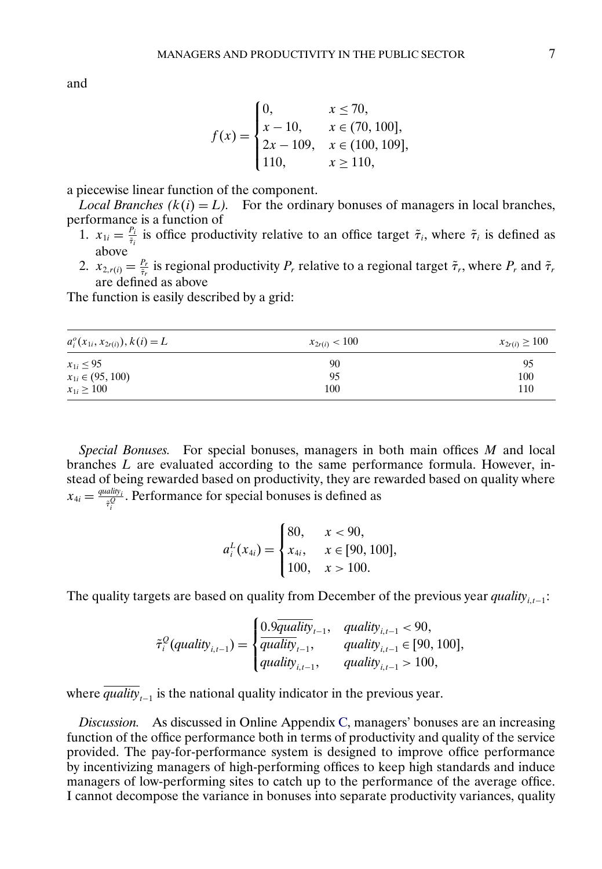$$
f(x) = \begin{cases} 0, & x \le 70, \\ x - 10, & x \in (70, 100], \\ 2x - 109, & x \in (100, 109], \\ 110, & x \ge 110, \end{cases}
$$

a piecewise linear function of the component.

*Local Branches (k(i)* = L). For the ordinary bonuses of managers in local branches, performance is a function of

- 1.  $x_{1i} = \frac{P_i}{\tilde{\tau}_i}$  is office productivity relative to an office target  $\tilde{\tau}_i$ , where  $\tilde{\tau}_i$  is defined as above
- 2.  $x_{2,r(i)} = \frac{P_r}{\tilde{\tau}_r}$  is regional productivity  $P_r$  relative to a regional target  $\tilde{\tau}_r$ , where  $P_r$  and  $\tilde{\tau}_r$ are defined as above

The function is easily described by a grid:

| $a_i^o(x_{1i}, x_{2r(i)})$ , $k(i) = L$ | $x_{2r(i)} < 100$ | $x_{2r(i)} \ge 100$ |
|-----------------------------------------|-------------------|---------------------|
| $x_{1i} \le 95$                         | 90                | 95                  |
| $x_{1i} \in (95, 100)$                  | 95                | 100                 |
| $x_{1i} \ge 100$                        | 100               | 110                 |

*Special Bonuses.* For special bonuses, managers in both main offices M and local branches L are evaluated according to the same performance formula. However, instead of being rewarded based on productivity, they are rewarded based on quality where  $x_{4i} = \frac{quality_i}{\tilde{\tau}_i^Q}$ . Performance for special bonuses is defined as

$$
a_i^L(x_{4i}) = \begin{cases} 80, & x < 90, \\ x_{4i}, & x \in [90, 100], \\ 100, & x > 100. \end{cases}
$$

The quality targets are based on quality from December of the previous year *quality*<sub>i,t−1</sub>:

$$
\tilde{\tau}_{i}^{Q}(quality_{i,t-1}) = \begin{cases}\n0.9\overline{quality}_{t-1}, & \text{quality}_{i,t-1} < 90, \\
\overline{quality}_{t-1}, & \text{quality}_{i,t-1} \in [90, 100], \\
\text{quality}_{i,t-1}, & \text{quality}_{i,t-1} > 100,\n\end{cases}
$$

where  $\overline{quality}_{t-1}$  is the national quality indicator in the previous year.

*Discussion.* As discussed in Online Appendix [C,](#page-1-0) managers' bonuses are an increasing function of the office performance both in terms of productivity and quality of the service provided. The pay-for-performance system is designed to improve office performance by incentivizing managers of high-performing offices to keep high standards and induce managers of low-performing sites to catch up to the performance of the average office. I cannot decompose the variance in bonuses into separate productivity variances, quality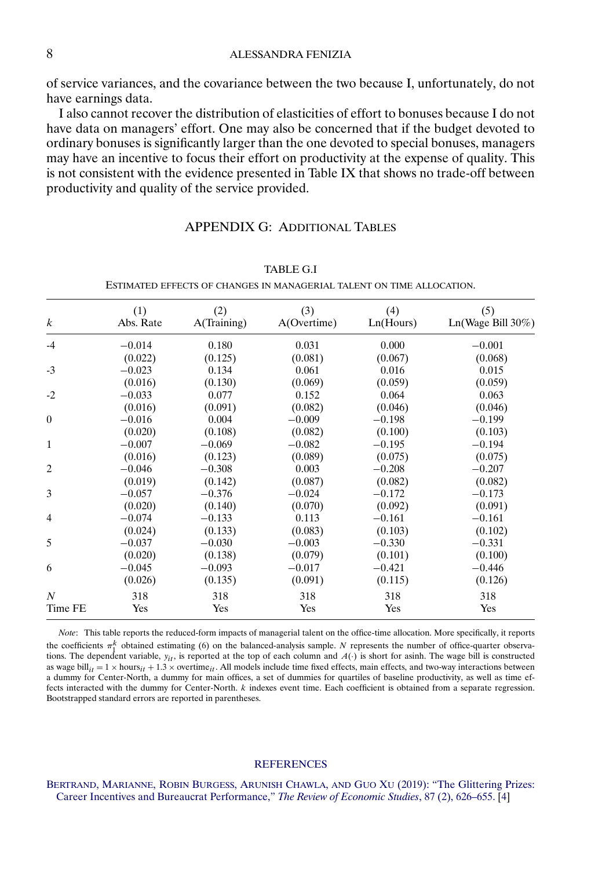## <span id="page-7-0"></span>8 ALESSANDRA FENIZIA

of service variances, and the covariance between the two because I, unfortunately, do not have earnings data.

I also cannot recover the distribution of elasticities of effort to bonuses because I do not have data on managers' effort. One may also be concerned that if the budget devoted to ordinary bonuses is significantly larger than the one devoted to special bonuses, managers may have an incentive to focus their effort on productivity at the expense of quality. This is not consistent with the evidence presented in Table IX that shows no trade-off between productivity and quality of the service provided.

## APPENDIX G: ADDITIONAL TABLES

| k       | (1)<br>Abs. Rate | (2)<br>A(Training) | (3)<br>A(Overtime) | (4)<br>Ln(Hours) | (5)<br>Ln(Wage Bill 30%) |
|---------|------------------|--------------------|--------------------|------------------|--------------------------|
| -4      | $-0.014$         | 0.180              | 0.031              | 0.000            | $-0.001$                 |
|         | (0.022)          | (0.125)            | (0.081)            | (0.067)          | (0.068)                  |
| $-3$    | $-0.023$         | 0.134              | 0.061              | 0.016            | 0.015                    |
|         | (0.016)          | (0.130)            | (0.069)            | (0.059)          | (0.059)                  |
| $-2$    | $-0.033$         | 0.077              | 0.152              | 0.064            | 0.063                    |
|         | (0.016)          | (0.091)            | (0.082)            | (0.046)          | (0.046)                  |
| 0       | $-0.016$         | 0.004              | $-0.009$           | $-0.198$         | $-0.199$                 |
|         | (0.020)          | (0.108)            | (0.082)            | (0.100)          | (0.103)                  |
| 1       | $-0.007$         | $-0.069$           | $-0.082$           | $-0.195$         | $-0.194$                 |
|         | (0.016)          | (0.123)            | (0.089)            | (0.075)          | (0.075)                  |
| 2       | $-0.046$         | $-0.308$           | 0.003              | $-0.208$         | $-0.207$                 |
|         | (0.019)          | (0.142)            | (0.087)            | (0.082)          | (0.082)                  |
| 3       | $-0.057$         | $-0.376$           | $-0.024$           | $-0.172$         | $-0.173$                 |
|         | (0.020)          | (0.140)            | (0.070)            | (0.092)          | (0.091)                  |
| 4       | $-0.074$         | $-0.133$           | 0.113              | $-0.161$         | $-0.161$                 |
|         | (0.024)          | (0.133)            | (0.083)            | (0.103)          | (0.102)                  |
| 5       | $-0.037$         | $-0.030$           | $-0.003$           | $-0.330$         | $-0.331$                 |
|         | (0.020)          | (0.138)            | (0.079)            | (0.101)          | (0.100)                  |
| 6       | $-0.045$         | $-0.093$           | $-0.017$           | $-0.421$         | $-0.446$                 |
|         | (0.026)          | (0.135)            | (0.091)            | (0.115)          | (0.126)                  |
| Ν       | 318              | 318                | 318                | 318              | 318                      |
| Time FE | Yes              | Yes                | Yes                | Yes              | Yes                      |
|         |                  |                    |                    |                  |                          |

ESTIMATED EFFECTS OF CHANGES IN MANAGERIAL TALENT ON TIME ALLOCATION.

*Note*: This table reports the reduced-form impacts of managerial talent on the office-time allocation. More specifically, it reports the coefficients  $\pi_1^k$  obtained estimating (6) on the balanced-analysis sample. N represents the number of office-quarter observations. The dependent variable,  $y_{it}$ , is reported at the top of each column and  $A(\cdot)$  is short for asinh. The wage bill is constructed as wage bill<sub>it</sub> = 1 × hours<sub>it</sub> + 1.3 × overtime<sub>it</sub>. All models include time fixed effects, main effects, and two-way interactions between a dummy for Center-North, a dummy for main offices, a set of dummies for quartiles of baseline productivity, as well as time effects interacted with the dummy for Center-North. k indexes event time. Each coefficient is obtained from a separate regression. Bootstrapped standard errors are reported in parentheses.

#### **[REFERENCES](http://www.e-publications.org/srv/ecta/linkserver/setprefs?rfe_id=urn:sici%2F0012-9682%282022%2990%3A3%2B%3C1%3ASTMAPI%3E2.0.CO%3B2-1)**

[BERTRAND, MARIANNE, ROBIN](http://www.e-publications.org/srv/ecta/linkserver/openurl?rft_dat=bib:1/Bertrandetal2017&rfe_id=urn:sici%2F0012-9682%282022%2990%3A3%2B%3C1%3ASTMAPI%3E2.0.CO%3B2-1) BURGESS, ARUNISH CHAWLA, AND GUO XU (2019): "The Glittering Prizes: [Career Incentives and Bureaucrat Performance,"](http://www.e-publications.org/srv/ecta/linkserver/openurl?rft_dat=bib:1/Bertrandetal2017&rfe_id=urn:sici%2F0012-9682%282022%2990%3A3%2B%3C1%3ASTMAPI%3E2.0.CO%3B2-1) *The Review of Economic Studies*, 87 (2), 626–655. [\[4\]](#page-3-0)